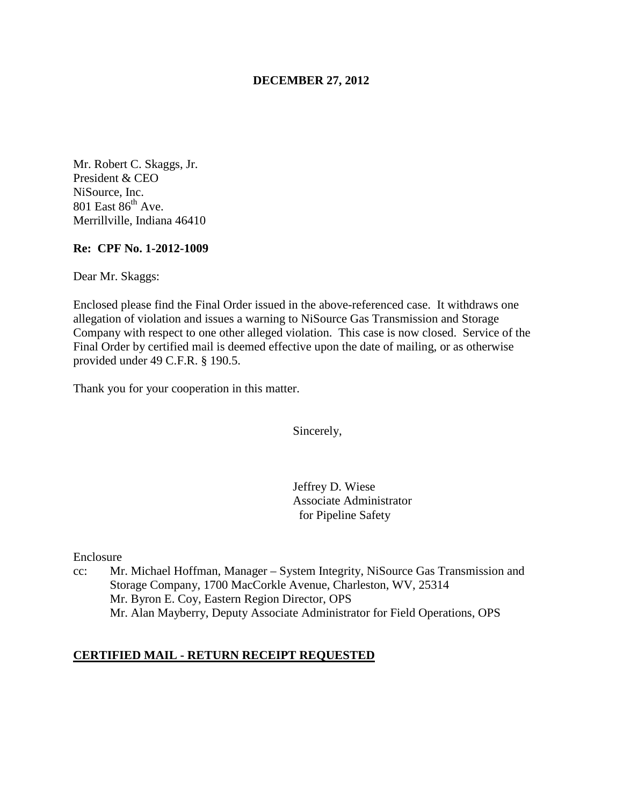## **DECEMBER 27, 2012**

Mr. Robert C. Skaggs, Jr. President & CEO NiSource, Inc. 801 East  $86^{th}$  Ave. Merrillville, Indiana 46410

#### **Re: CPF No. 1-2012-1009**

Dear Mr. Skaggs:

Enclosed please find the Final Order issued in the above-referenced case. It withdraws one allegation of violation and issues a warning to NiSource Gas Transmission and Storage Company with respect to one other alleged violation. This case is now closed. Service of the Final Order by certified mail is deemed effective upon the date of mailing, or as otherwise provided under 49 C.F.R. § 190.5.

Thank you for your cooperation in this matter.

Sincerely,

Jeffrey D. Wiese Associate Administrator for Pipeline Safety

Enclosure

cc: Mr. Michael Hoffman, Manager – System Integrity, NiSource Gas Transmission and Storage Company, 1700 MacCorkle Avenue, Charleston, WV, 25314 Mr. Byron E. Coy, Eastern Region Director, OPS Mr. Alan Mayberry, Deputy Associate Administrator for Field Operations, OPS

### **CERTIFIED MAIL - RETURN RECEIPT REQUESTED**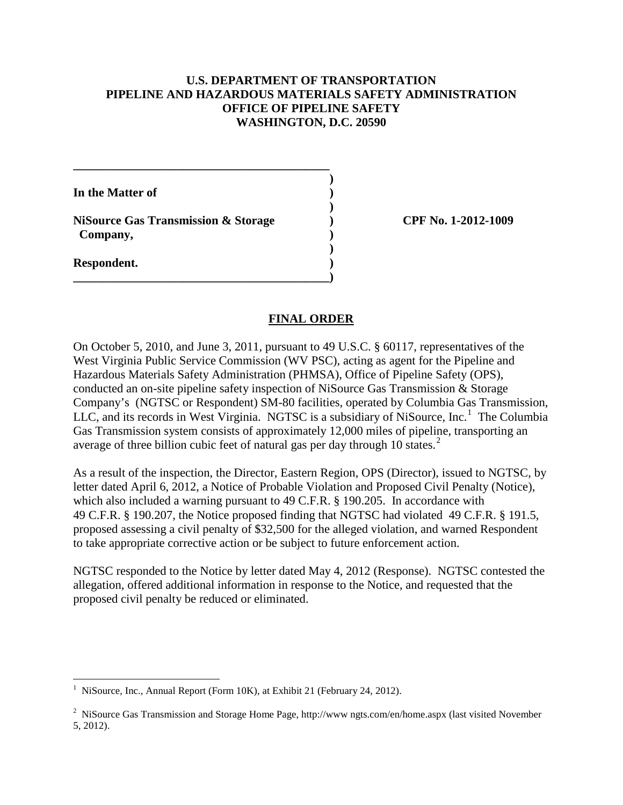## **U.S. DEPARTMENT OF TRANSPORTATION PIPELINE AND HAZARDOUS MATERIALS SAFETY ADMINISTRATION OFFICE OF PIPELINE SAFETY WASHINGTON, D.C. 20590**

**In the Matter of ) )** 

**NiSource Gas Transmission & Storage ) CPF No. 1-2012-1009 Company, )** 

**\_\_\_\_\_\_\_\_\_\_\_\_\_\_\_\_\_\_\_\_\_\_\_\_\_\_\_\_\_\_\_\_\_\_\_\_\_\_\_\_\_\_ )** 

 **)** 

**\_\_\_\_\_\_\_\_\_\_\_\_\_\_\_\_\_\_\_\_\_\_\_\_\_\_\_\_\_\_\_\_\_\_\_\_\_\_\_\_\_\_)** 

**Respondent. )** 

# **FINAL ORDER**

On October 5, 2010, and June 3, 2011, pursuant to 49 U.S.C. § 60117, representatives of the West Virginia Public Service Commission (WV PSC), acting as agent for the Pipeline and Hazardous Materials Safety Administration (PHMSA), Office of Pipeline Safety (OPS), conducted an on-site pipeline safety inspection of NiSource Gas Transmission & Storage Company's (NGTSC or Respondent) SM-80 facilities, operated by Columbia Gas Transmission, LLC, and its records in West Virginia. NGTSC is a subsidiary of NiSource, Inc.<sup>1</sup> The Columbia Gas Transmission system consists of approximately 12,000 miles of pipeline, transporting an average of three billion cubic feet of natural gas per day through 10 states. $2$ 

As a result of the inspection, the Director, Eastern Region, OPS (Director), issued to NGTSC, by letter dated April 6, 2012, a Notice of Probable Violation and Proposed Civil Penalty (Notice), which also included a warning pursuant to 49 C.F.R. § 190.205. In accordance with 49 C.F.R. § 190.207, the Notice proposed finding that NGTSC had violated 49 C.F.R. § 191.5, proposed assessing a civil penalty of \$32,500 for the alleged violation, and warned Respondent to take appropriate corrective action or be subject to future enforcement action.

NGTSC responded to the Notice by letter dated May 4, 2012 (Response). NGTSC contested the allegation, offered additional information in response to the Notice, and requested that the proposed civil penalty be reduced or eliminated.

 1 NiSource, Inc., Annual Report (Form 10K), at Exhibit 21 (February 24, 2012).

<sup>&</sup>lt;sup>2</sup> NiSource Gas Transmission and Storage Home Page, http://www.ngts.com/en/home.aspx (last visited November 5, 2012).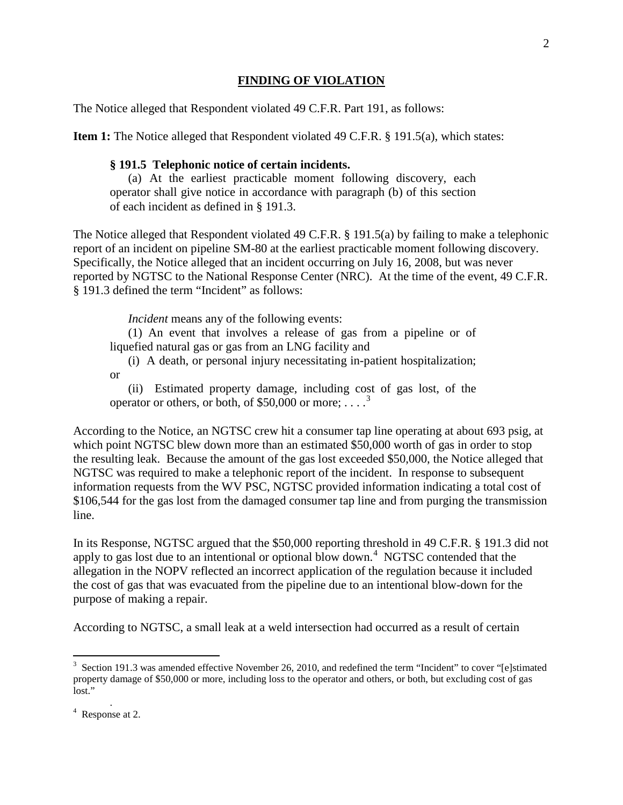#### **FINDING OF VIOLATION**

The Notice alleged that Respondent violated 49 C.F.R. Part 191, as follows:

**Item 1:** The Notice alleged that Respondent violated 49 C.F.R. § 191.5(a), which states:

#### **§ 191.5 Telephonic notice of certain incidents.**

(a) At the earliest practicable moment following discovery, each operator shall give notice in accordance with paragraph (b) of this section of each incident as defined in § 191.3.

The Notice alleged that Respondent violated 49 C.F.R. § 191.5(a) by failing to make a telephonic report of an incident on pipeline SM-80 at the earliest practicable moment following discovery. Specifically, the Notice alleged that an incident occurring on July 16, 2008, but was never reported by NGTSC to the National Response Center (NRC). At the time of the event, 49 C.F.R. § 191.3 defined the term "Incident" as follows:

*Incident* means any of the following events:

(1) An event that involves a release of gas from a pipeline or of liquefied natural gas or gas from an LNG facility and

(i) A death, or personal injury necessitating in-patient hospitalization; or

(ii) Estimated property damage, including cost of gas lost, of the operator or others, or both, of \$50,000 or more;  $\dots$ <sup>3</sup>

According to the Notice, an NGTSC crew hit a consumer tap line operating at about 693 psig, at which point NGTSC blew down more than an estimated \$50,000 worth of gas in order to stop the resulting leak. Because the amount of the gas lost exceeded \$50,000, the Notice alleged that NGTSC was required to make a telephonic report of the incident. In response to subsequent information requests from the WV PSC, NGTSC provided information indicating a total cost of \$106,544 for the gas lost from the damaged consumer tap line and from purging the transmission line.

In its Response, NGTSC argued that the \$50,000 reporting threshold in 49 C.F.R. § 191.3 did not apply to gas lost due to an intentional or optional blow down.<sup>4</sup> NGTSC contended that the allegation in the NOPV reflected an incorrect application of the regulation because it included the cost of gas that was evacuated from the pipeline due to an intentional blow-down for the purpose of making a repair.

According to NGTSC, a small leak at a weld intersection had occurred as a result of certain

 $\overline{a}$ 

 $3$  Section 191.3 was amended effective November 26, 2010, and redefined the term "Incident" to cover "[e]stimated property damage of \$50,000 or more, including loss to the operator and others, or both, but excluding cost of gas lost."

 $4$  Response at 2.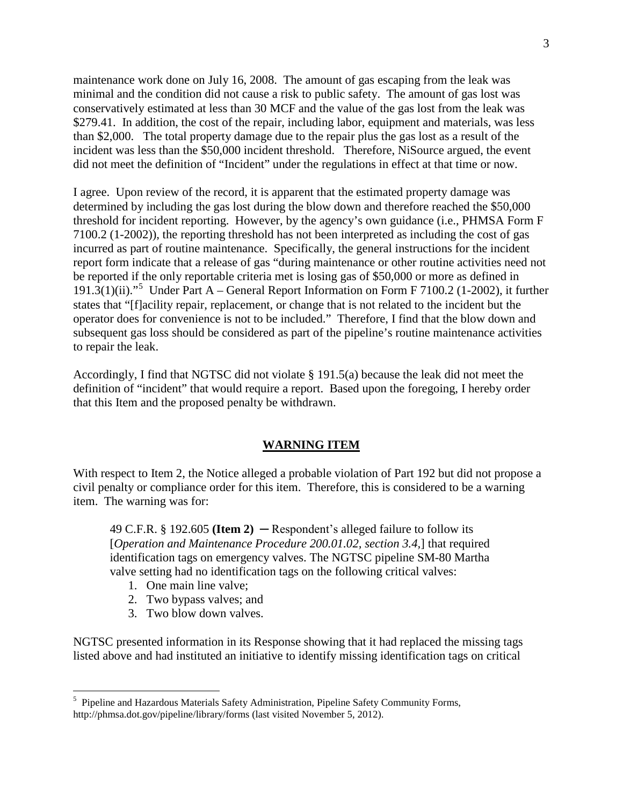maintenance work done on July 16, 2008. The amount of gas escaping from the leak was minimal and the condition did not cause a risk to public safety. The amount of gas lost was conservatively estimated at less than 30 MCF and the value of the gas lost from the leak was \$279.41. In addition, the cost of the repair, including labor, equipment and materials, was less than \$2,000. The total property damage due to the repair plus the gas lost as a result of the incident was less than the \$50,000 incident threshold. Therefore, NiSource argued, the event did not meet the definition of "Incident" under the regulations in effect at that time or now.

I agree. Upon review of the record, it is apparent that the estimated property damage was determined by including the gas lost during the blow down and therefore reached the \$50,000 threshold for incident reporting. However, by the agency's own guidance (i.e., PHMSA Form F 7100.2 (1-2002)), the reporting threshold has not been interpreted as including the cost of gas incurred as part of routine maintenance. Specifically, the general instructions for the incident report form indicate that a release of gas "during maintenance or other routine activities need not be reported if the only reportable criteria met is losing gas of \$50,000 or more as defined in 191.3(1)(ii)."<sup>5</sup> Under Part A – General Report Information on Form F 7100.2 (1-2002), it further states that "[f]acility repair, replacement, or change that is not related to the incident but the operator does for convenience is not to be included." Therefore, I find that the blow down and subsequent gas loss should be considered as part of the pipeline's routine maintenance activities to repair the leak.

Accordingly, I find that NGTSC did not violate § 191.5(a) because the leak did not meet the definition of "incident" that would require a report. Based upon the foregoing, I hereby order that this Item and the proposed penalty be withdrawn.

### **WARNING ITEM**

With respect to Item 2, the Notice alleged a probable violation of Part 192 but did not propose a civil penalty or compliance order for this item. Therefore, this is considered to be a warning item. The warning was for:

49 C.F.R.  $\S$  192.605 (**Item 2**)  $-$  Respondent's alleged failure to follow its [*Operation and Maintenance Procedure 200.01.02, section 3.4,*] that required identification tags on emergency valves. The NGTSC pipeline SM-80 Martha valve setting had no identification tags on the following critical valves:

1. One main line valve;

 $\overline{a}$ 

- 2. Two bypass valves; and
- 3. Two blow down valves.

NGTSC presented information in its Response showing that it had replaced the missing tags listed above and had instituted an initiative to identify missing identification tags on critical

<sup>&</sup>lt;sup>5</sup> Pipeline and Hazardous Materials Safety Administration, Pipeline Safety Community Forms, http://phmsa.dot.gov/pipeline/library/forms (last visited November 5, 2012).